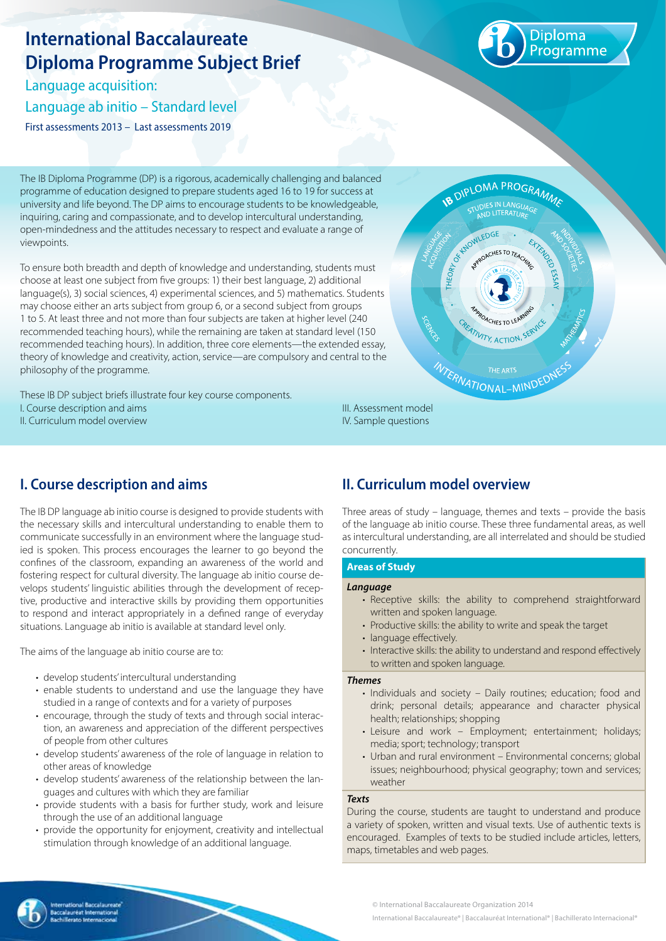# **International Baccalaureate Diploma Programme Subject Brief**

Language acquisition: Language ab initio – Standard level First assessments 2013 – Last assessments 2019



The IB Diploma Programme (DP) is a rigorous, academically challenging and balanced programme of education designed to prepare students aged 16 to 19 for success at university and life beyond. The DP aims to encourage students to be knowledgeable, inquiring, caring and compassionate, and to develop intercultural understanding, open-mindedness and the attitudes necessary to respect and evaluate a range of viewpoints.

To ensure both breadth and depth of knowledge and understanding, students must choose at least one subject from five groups: 1) their best language, 2) additional language(s), 3) social sciences, 4) experimental sciences, and 5) mathematics. Students may choose either an arts subject from group 6, or a second subject from groups 1 to 5. At least three and not more than four subjects are taken at higher level (240 recommended teaching hours), while the remaining are taken at standard level (150 recommended teaching hours). In addition, three core elements—the extended essay, theory of knowledge and creativity, action, service—are compulsory and central to the philosophy of the programme.

These IB DP subject briefs illustrate four key course components. I. Course description and aims II. Curriculum model overview



## **I. Course description and aims**

The IB DP language ab initio course is designed to provide students with the necessary skills and intercultural understanding to enable them to communicate successfully in an environment where the language studied is spoken. This process encourages the learner to go beyond the confines of the classroom, expanding an awareness of the world and fostering respect for cultural diversity. The language ab initio course develops students' linguistic abilities through the development of receptive, productive and interactive skills by providing them opportunities to respond and interact appropriately in a defined range of everyday situations. Language ab initio is available at standard level only.

The aims of the language ab initio course are to:

- develop students' intercultural understanding
- enable students to understand and use the language they have studied in a range of contexts and for a variety of purposes
- encourage, through the study of texts and through social interaction, an awareness and appreciation of the different perspectives of people from other cultures
- develop students' awareness of the role of language in relation to other areas of knowledge
- develop students' awareness of the relationship between the languages and cultures with which they are familiar
- provide students with a basis for further study, work and leisure through the use of an additional language
- provide the opportunity for enjoyment, creativity and intellectual stimulation through knowledge of an additional language.

### **II. Curriculum model overview**

Three areas of study – language, themes and texts – provide the basis of the language ab initio course. These three fundamental areas, as well as intercultural understanding, are all interrelated and should be studied concurrently.

#### **Areas of Study**

IV. Sample questions

#### *Language*

- Receptive skills: the ability to comprehend straightforward written and spoken language.
- Productive skills: the ability to write and speak the target
- language effectively.
- Interactive skills: the ability to understand and respond effectively to written and spoken language.

#### *Themes*

- Individuals and society Daily routines; education; food and drink; personal details; appearance and character physical health; relationships; shopping
- Leisure and work Employment; entertainment; holidays; media; sport; technology; transport
- Urban and rural environment Environmental concerns; global issues; neighbourhood; physical geography; town and services; weather

#### *Texts*

During the course, students are taught to understand and produce a variety of spoken, written and visual texts. Use of authentic texts is encouraged. Examples of texts to be studied include articles, letters, maps, timetables and web pages.



© International Baccalaureate Organization 2014